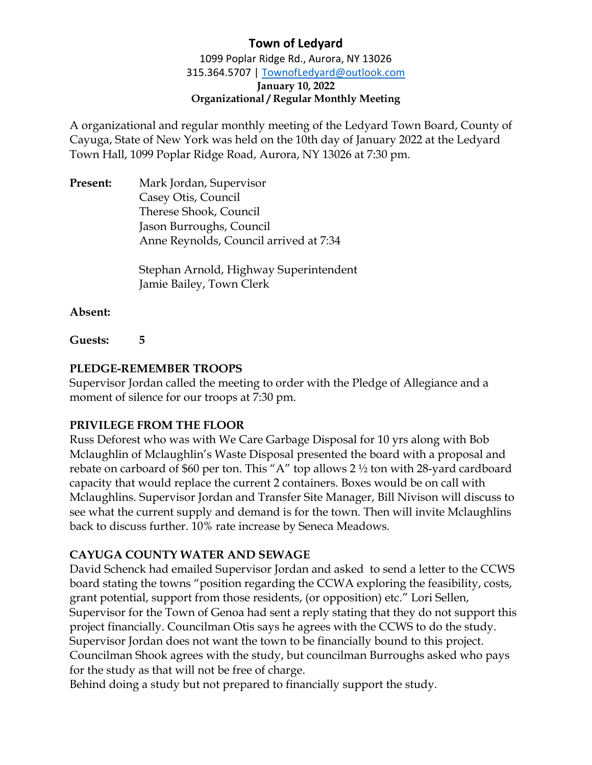1099 Poplar Ridge Rd., Aurora, NY 13026 315.364.5707 | [TownofLedyard@outlook.com](mailto:TownofLedyard@outlook.com) **January 10, 2022 Organizational / Regular Monthly Meeting**

A organizational and regular monthly meeting of the Ledyard Town Board, County of Cayuga, State of New York was held on the 10th day of January 2022 at the Ledyard Town Hall, 1099 Poplar Ridge Road, Aurora, NY 13026 at 7:30 pm.

**Present:** Mark Jordan, Supervisor Casey Otis, Council Therese Shook, Council Jason Burroughs, Council Anne Reynolds, Council arrived at 7:34

> Stephan Arnold, Highway Superintendent Jamie Bailey, Town Clerk

**Absent:**

**Guests: 5**

### **PLEDGE-REMEMBER TROOPS**

Supervisor Jordan called the meeting to order with the Pledge of Allegiance and a moment of silence for our troops at 7:30 pm.

### **PRIVILEGE FROM THE FLOOR**

Russ Deforest who was with We Care Garbage Disposal for 10 yrs along with Bob Mclaughlin of Mclaughlin's Waste Disposal presented the board with a proposal and rebate on carboard of \$60 per ton. This "A" top allows 2 ½ ton with 28-yard cardboard capacity that would replace the current 2 containers. Boxes would be on call with Mclaughlins. Supervisor Jordan and Transfer Site Manager, Bill Nivison will discuss to see what the current supply and demand is for the town. Then will invite Mclaughlins back to discuss further. 10% rate increase by Seneca Meadows.

# **CAYUGA COUNTY WATER AND SEWAGE**

David Schenck had emailed Supervisor Jordan and asked to send a letter to the CCWS board stating the towns "position regarding the CCWA exploring the feasibility, costs, grant potential, support from those residents, (or opposition) etc." Lori Sellen, Supervisor for the Town of Genoa had sent a reply stating that they do not support this project financially. Councilman Otis says he agrees with the CCWS to do the study. Supervisor Jordan does not want the town to be financially bound to this project. Councilman Shook agrees with the study, but councilman Burroughs asked who pays for the study as that will not be free of charge.

Behind doing a study but not prepared to financially support the study.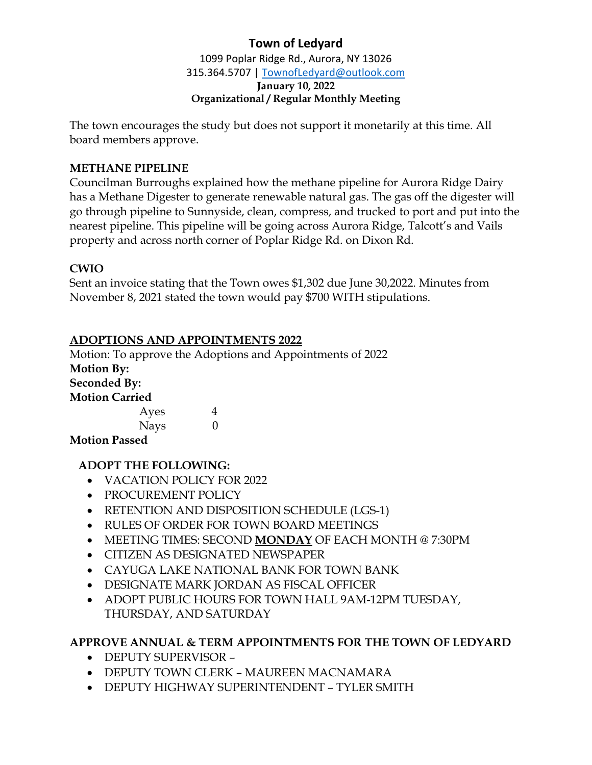1099 Poplar Ridge Rd., Aurora, NY 13026 315.364.5707 | [TownofLedyard@outlook.com](mailto:TownofLedyard@outlook.com) **January 10, 2022 Organizational / Regular Monthly Meeting**

The town encourages the study but does not support it monetarily at this time. All board members approve.

## **METHANE PIPELINE**

Councilman Burroughs explained how the methane pipeline for Aurora Ridge Dairy has a Methane Digester to generate renewable natural gas. The gas off the digester will go through pipeline to Sunnyside, clean, compress, and trucked to port and put into the nearest pipeline. This pipeline will be going across Aurora Ridge, Talcott's and Vails property and across north corner of Poplar Ridge Rd. on Dixon Rd.

# **CWIO**

Sent an invoice stating that the Town owes \$1,302 due June 30,2022. Minutes from November 8, 2021 stated the town would pay \$700 WITH stipulations.

# **ADOPTIONS AND APPOINTMENTS 2022**

Motion: To approve the Adoptions and Appointments of 2022 **Motion By: Seconded By: Motion Carried** Ayes 4

| Ayes        |  |
|-------------|--|
| <b>Nays</b> |  |

**Motion Passed**

# **ADOPT THE FOLLOWING:**

- VACATION POLICY FOR 2022
- PROCUREMENT POLICY
- RETENTION AND DISPOSITION SCHEDULE (LGS-1)
- RULES OF ORDER FOR TOWN BOARD MEETINGS
- MEETING TIMES: SECOND **MONDAY** OF EACH MONTH @ 7:30PM
- CITIZEN AS DESIGNATED NEWSPAPER
- CAYUGA LAKE NATIONAL BANK FOR TOWN BANK
- DESIGNATE MARK JORDAN AS FISCAL OFFICER
- ADOPT PUBLIC HOURS FOR TOWN HALL 9AM-12PM TUESDAY, THURSDAY, AND SATURDAY

# **APPROVE ANNUAL & TERM APPOINTMENTS FOR THE TOWN OF LEDYARD**

- DEPUTY SUPERVISOR –
- DEPUTY TOWN CLERK MAUREEN MACNAMARA
- DEPUTY HIGHWAY SUPERINTENDENT TYLER SMITH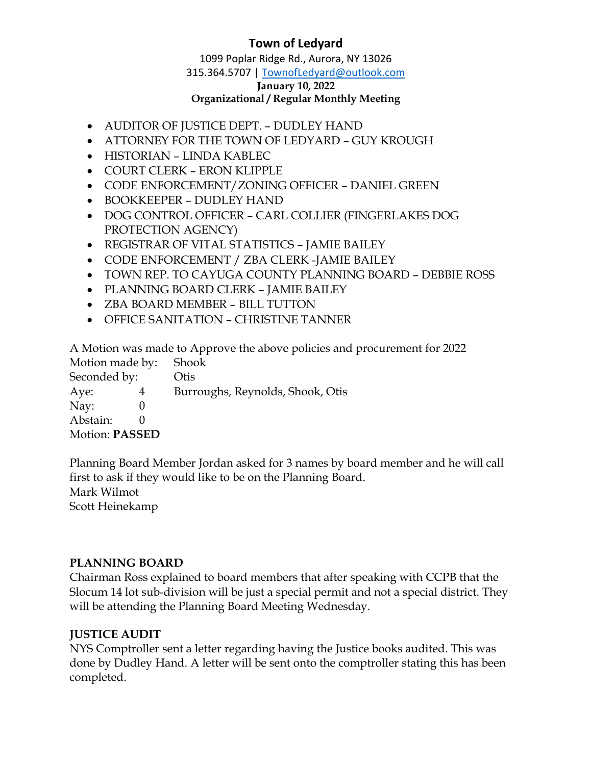1099 Poplar Ridge Rd., Aurora, NY 13026

315.364.5707 | [TownofLedyard@outlook.com](mailto:TownofLedyard@outlook.com)

#### **January 10, 2022**

#### **Organizational / Regular Monthly Meeting**

- AUDITOR OF JUSTICE DEPT. DUDLEY HAND
- ATTORNEY FOR THE TOWN OF LEDYARD GUY KROUGH
- HISTORIAN LINDA KABLEC
- COURT CLERK ERON KLIPPLE
- CODE ENFORCEMENT/ZONING OFFICER DANIEL GREEN
- BOOKKEEPER DUDLEY HAND
- DOG CONTROL OFFICER CARL COLLIER (FINGERLAKES DOG PROTECTION AGENCY)
- REGISTRAR OF VITAL STATISTICS JAMIE BAILEY
- CODE ENFORCEMENT / ZBA CLERK -JAMIE BAILEY
- TOWN REP. TO CAYUGA COUNTY PLANNING BOARD DEBBIE ROSS
- PLANNING BOARD CLERK JAMIE BAILEY
- ZBA BOARD MEMBER BILL TUTTON
- OFFICE SANITATION CHRISTINE TANNER

A Motion was made to Approve the above policies and procurement for 2022

Motion made by: Shook Seconded by: Otis Aye: 4 Burroughs, Reynolds, Shook, Otis Nay: 0 Abstain: 0 Motion: **PASSED**

Planning Board Member Jordan asked for 3 names by board member and he will call first to ask if they would like to be on the Planning Board. Mark Wilmot Scott Heinekamp

### **PLANNING BOARD**

Chairman Ross explained to board members that after speaking with CCPB that the Slocum 14 lot sub-division will be just a special permit and not a special district. They will be attending the Planning Board Meeting Wednesday.

### **JUSTICE AUDIT**

NYS Comptroller sent a letter regarding having the Justice books audited. This was done by Dudley Hand. A letter will be sent onto the comptroller stating this has been completed.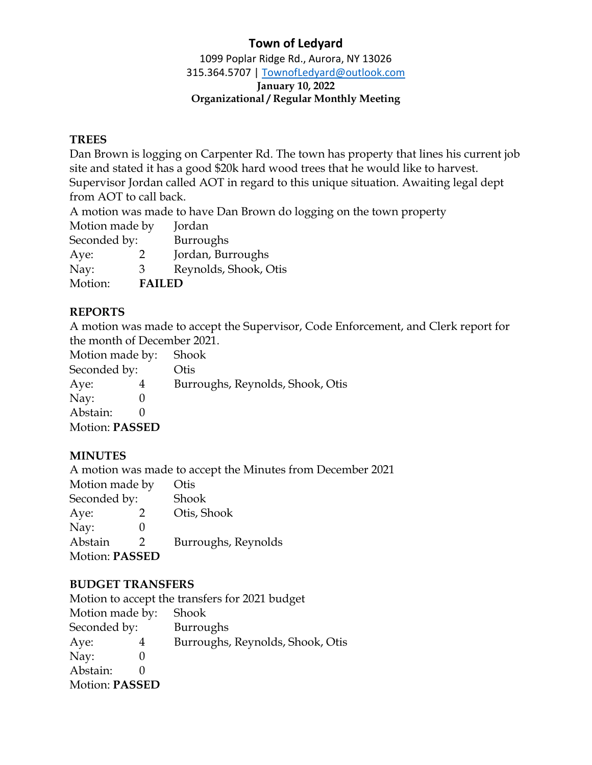1099 Poplar Ridge Rd., Aurora, NY 13026 315.364.5707 | [TownofLedyard@outlook.com](mailto:TownofLedyard@outlook.com) **January 10, 2022**

#### **Organizational / Regular Monthly Meeting**

### **TREES**

Dan Brown is logging on Carpenter Rd. The town has property that lines his current job site and stated it has a good \$20k hard wood trees that he would like to harvest. Supervisor Jordan called AOT in regard to this unique situation. Awaiting legal dept from AOT to call back.

A motion was made to have Dan Brown do logging on the town property

Motion made by Jordan

Seconded by: Burroughs

Aye: 2 Jordan, Burroughs

Nay: 3 Reynolds, Shook, Otis

Motion: **FAILED**

### **REPORTS**

A motion was made to accept the Supervisor, Code Enforcement, and Clerk report for the month of December 2021.

| Motion made by:       |  | Shook                            |
|-----------------------|--|----------------------------------|
| Seconded by:          |  | Otis                             |
| Aye:                  |  | Burroughs, Reynolds, Shook, Otis |
| Nay:                  |  |                                  |
| Abstain:              |  |                                  |
| <b>Motion: PASSED</b> |  |                                  |

### **MINUTES**

A motion was made to accept the Minutes from December 2021

| Motion made by        |               | Otis                |
|-----------------------|---------------|---------------------|
| Seconded by:          |               | Shook               |
| Aye:                  | $\mathcal{P}$ | Otis, Shook         |
| Nay:                  |               |                     |
| Abstain               | $\mathcal{D}$ | Burroughs, Reynolds |
| <b>Motion: PASSED</b> |               |                     |

### **BUDGET TRANSFERS**

| Motion to accept the transfers for 2021 budget |
|------------------------------------------------|
| Shook                                          |
| <b>Burroughs</b>                               |
| Burroughs, Reynolds, Shook, Otis               |
|                                                |
|                                                |
|                                                |
|                                                |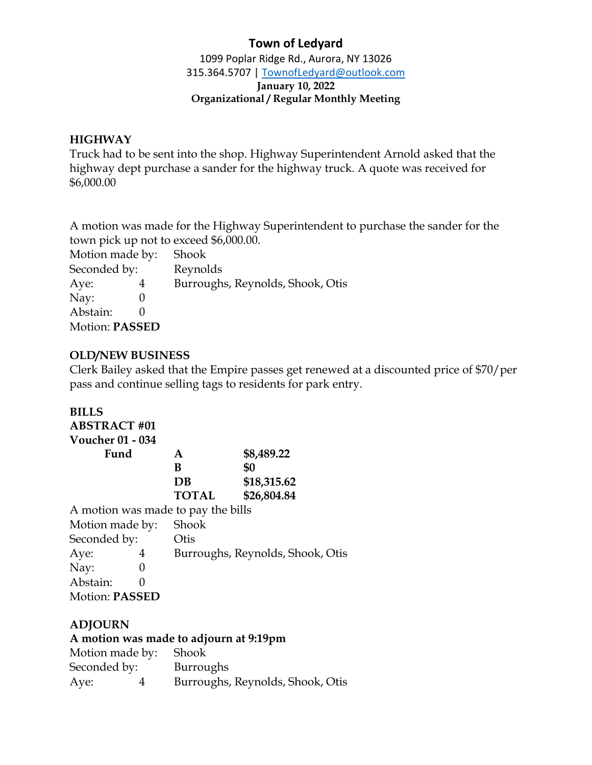1099 Poplar Ridge Rd., Aurora, NY 13026 315.364.5707 | [TownofLedyard@outlook.com](mailto:TownofLedyard@outlook.com) **January 10, 2022 Organizational / Regular Monthly Meeting**

### **HIGHWAY**

Truck had to be sent into the shop. Highway Superintendent Arnold asked that the highway dept purchase a sander for the highway truck. A quote was received for \$6,000.00

A motion was made for the Highway Superintendent to purchase the sander for the town pick up not to exceed \$6,000.00.

Motion made by: Shook

Seconded by: Reynolds Aye: 4 Burroughs, Reynolds, Shook, Otis Nay: 0 Abstain: 0 Motion: **PASSED**

### **OLD/NEW BUSINESS**

Clerk Bailey asked that the Empire passes get renewed at a discounted price of \$70/per pass and continue selling tags to residents for park entry.

### **BILLS**

| <b>ABSTRACT #01</b>                |              |                                  |
|------------------------------------|--------------|----------------------------------|
| <b>Voucher 01 - 034</b>            |              |                                  |
| Fund                               | A            | \$8,489.22                       |
|                                    | B            | \$0                              |
|                                    | $DB$         | \$18,315.62                      |
|                                    | <b>TOTAL</b> | \$26,804.84                      |
| A motion was made to pay the bills |              |                                  |
| Motion made by:                    | Shook        |                                  |
| Seconded by:                       | Otis         |                                  |
| Aye:<br>4                          |              | Burroughs, Reynolds, Shook, Otis |
| Nay:<br>0                          |              |                                  |
| Abstain:                           |              |                                  |
| <b>Motion: PASSED</b>              |              |                                  |

### **ADJOURN**

### **A motion was made to adjourn at 9:19pm**

| Motion made by: Shook |                                  |
|-----------------------|----------------------------------|
| Seconded by:          | Burroughs                        |
| Aye:                  | Burroughs, Reynolds, Shook, Otis |